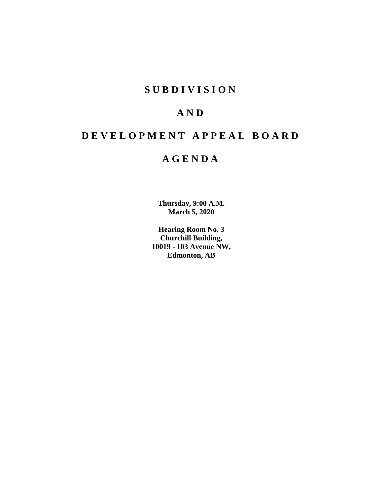# **S U B D I V I S I O N**

# **A N D**

# **D E V E L O P M E N T A P P E A L B O A R D**

# **A G E N D A**

**Thursday, 9:00 A.M. March 5, 2020**

**Hearing Room No. 3 Churchill Building, 10019 - 103 Avenue NW, Edmonton, AB**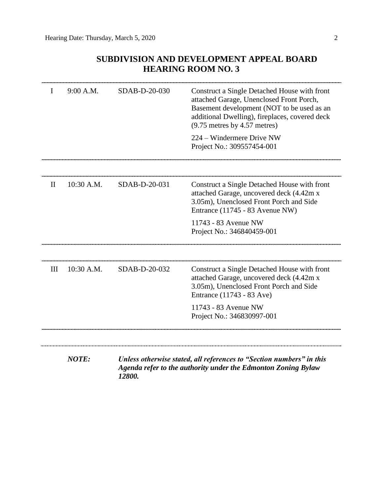# **SUBDIVISION AND DEVELOPMENT APPEAL BOARD HEARING ROOM NO. 3**

| L            | 9:00 A.M.    | SDAB-D-20-030                                                                                                                                   | Construct a Single Detached House with front<br>attached Garage, Unenclosed Front Porch,<br>Basement development (NOT to be used as an<br>additional Dwelling), fireplaces, covered deck<br>$(9.75$ metres by 4.57 metres) |  |
|--------------|--------------|-------------------------------------------------------------------------------------------------------------------------------------------------|----------------------------------------------------------------------------------------------------------------------------------------------------------------------------------------------------------------------------|--|
|              |              |                                                                                                                                                 | 224 – Windermere Drive NW<br>Project No.: 309557454-001                                                                                                                                                                    |  |
|              |              |                                                                                                                                                 |                                                                                                                                                                                                                            |  |
| $\mathbf{I}$ | 10:30 A.M.   | SDAB-D-20-031                                                                                                                                   | Construct a Single Detached House with front<br>attached Garage, uncovered deck (4.42m x<br>3.05m), Unenclosed Front Porch and Side<br>Entrance (11745 - 83 Avenue NW)                                                     |  |
|              |              |                                                                                                                                                 | 11743 - 83 Avenue NW<br>Project No.: 346840459-001                                                                                                                                                                         |  |
| III          | 10:30 A.M.   | SDAB-D-20-032                                                                                                                                   | Construct a Single Detached House with front<br>attached Garage, uncovered deck (4.42m x<br>3.05m), Unenclosed Front Porch and Side<br>Entrance (11743 - 83 Ave)                                                           |  |
|              |              |                                                                                                                                                 | 11743 - 83 Avenue NW<br>Project No.: 346830997-001                                                                                                                                                                         |  |
|              |              |                                                                                                                                                 |                                                                                                                                                                                                                            |  |
|              | <b>NOTE:</b> | Unless otherwise stated, all references to "Section numbers" in this<br>Agenda refer to the authority under the Edmonton Zoning Bylaw<br>12800. |                                                                                                                                                                                                                            |  |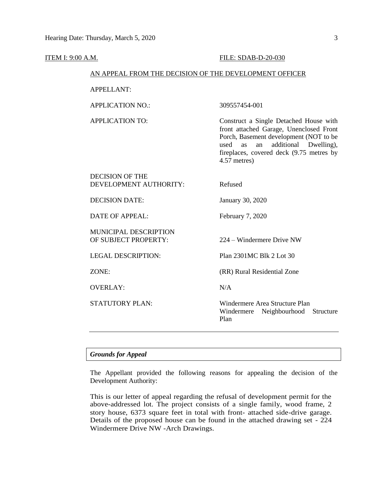#### **ITEM I: 9:00 A.M. FILE: SDAB-D-20-030**

#### AN APPEAL FROM THE DECISION OF THE DEVELOPMENT OFFICER

APPELLANT:

APPLICATION NO.: 309557454-001

APPLICATION TO: Construct a Single Detached House with front attached Garage, Unenclosed Front Porch, Basement development (NOT to be used as an additional Dwelling), fireplaces, covered deck (9.75 metres by 4.57 metres)

| DECISION OF THE<br>DEVELOPMENT AUTHORITY:     | Refused                                                                      |
|-----------------------------------------------|------------------------------------------------------------------------------|
| <b>DECISION DATE:</b>                         | January 30, 2020                                                             |
| $\overline{DATE}$ OF APPEAL:                  | February 7, 2020                                                             |
| MUNICIPAL DESCRIPTION<br>OF SUBJECT PROPERTY: | 224 – Windermere Drive NW                                                    |
| <b>LEGAL DESCRIPTION:</b>                     | Plan 2301MC Blk 2 Lot 30                                                     |
| ZONE:                                         | (RR) Rural Residential Zone                                                  |
| <b>OVERLAY:</b>                               | N/A                                                                          |
| <b>STATUTORY PLAN:</b>                        | Windermere Area Structure Plan<br>Windermere Neighbourhood Structure<br>Plan |

## *Grounds for Appeal*

The Appellant provided the following reasons for appealing the decision of the Development Authority:

This is our letter of appeal regarding the refusal of development permit for the above-addressed lot. The project consists of a single family, wood frame, 2 story house, 6373 square feet in total with front- attached side-drive garage. Details of the proposed house can be found in the attached drawing set - 224 Windermere Drive NW -Arch Drawings.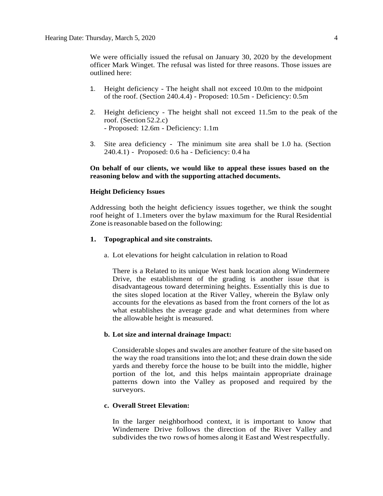We were officially issued the refusal on January 30, 2020 by the development officer Mark Winget. The refusal was listed for three reasons. Those issues are outlined here:

- 1. Height deficiency The height shall not exceed 10.0m to the midpoint of the roof. (Section 240.4.4) - Proposed: 10.5m - Deficiency: 0.5m
- 2. Height deficiency The height shall not exceed 11.5m to the peak of the roof. (Section 52.2.c) - Proposed: 12.6m - Deficiency: 1.1m
- 3. Site area deficiency The minimum site area shall be 1.0 ha. (Section 240.4.1) - Proposed: 0.6 ha - Deficiency: 0.4 ha

# **On behalf of our clients, we would like to appeal these issues based on the reasoning below and with the supporting attached documents.**

#### **Height Deficiency Issues**

Addressing both the height deficiency issues together, we think the sought roof height of 1.1meters over the bylaw maximum for the Rural Residential Zone is reasonable based on the following:

#### **1. Topographical and site constraints.**

a. Lot elevations for height calculation in relation to Road

There is a Related to its unique West bank location along Windermere Drive, the establishment of the grading is another issue that is disadvantageous toward determining heights. Essentially this is due to the sites sloped location at the River Valley, wherein the Bylaw only accounts for the elevations as based from the front corners of the lot as what establishes the average grade and what determines from where the allowable height is measured.

#### **b. Lot size and internal drainage Impact:**

Considerable slopes and swales are another feature of the site based on the way the road transitions into the lot; and these drain down the side yards and thereby force the house to be built into the middle, higher portion of the lot, and this helps maintain appropriate drainage patterns down into the Valley as proposed and required by the surveyors.

#### **c. Overall Street Elevation:**

In the larger neighborhood context, it is important to know that Windemere Drive follows the direction of the River Valley and subdivides the two rows of homes along it East and Westrespectfully.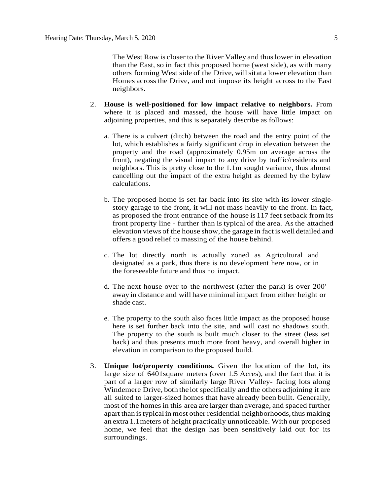The West Row is closer to the River Valley and thuslower in elevation than the East, so in fact this proposed home (west side), as with many others forming West side of the Drive, willsitat a lower elevation than Homes across the Drive, and not impose its height across to the East neighbors.

- 2. **House is well-positioned for low impact relative to neighbors.** From where it is placed and massed, the house will have little impact on adjoining properties, and this is separately describe as follows:
	- a. There is a culvert (ditch) between the road and the entry point of the lot, which establishes a fairly significant drop in elevation between the property and the road (approximately 0.95m on average across the front), negating the visual impact to any drive by traffic/residents and neighbors. This is pretty close to the 1.1m sought variance, thus almost cancelling out the impact of the extra height as deemed by the bylaw calculations.
	- b. The proposed home is set far back into its site with its lower singlestory garage to the front, it will not mass heavily to the front. In fact, as proposed the front entrance of the house is 117 feet setback from its front property line - further than is typical of the area. As the attached elevation views of the house show,the garage in fact iswelldetailed and offers a good relief to massing of the house behind.
	- c. The lot directly north is actually zoned as Agricultural and designated as a park, thus there is no development here now, or in the foreseeable future and thus no impact.
	- d. The next house over to the northwest (after the park) is over 200' away in distance and will have minimal impact from either height or shade cast.
	- e. The property to the south also faces little impact as the proposed house here is set further back into the site, and will cast no shadows south. The property to the south is built much closer to the street (less set back) and thus presents much more front heavy, and overall higher in elevation in comparison to the proposed build.
- 3. **Unique lot/property conditions.** Given the location of the lot, its large size of 6401square meters (over 1.5 Acres), and the fact that it is part of a larger row of similarly large River Valley- facing lots along Windemere Drive, both the lot specifically and the others adjoining it are all suited to larger-sized homes that have already been built. Generally, most of the homes in this area are larger than average, and spaced further apart than istypical in most other residential neighborhoods,thus making an extra 1.1meters of height practically unnoticeable. With our proposed home, we feel that the design has been sensitively laid out for its surroundings.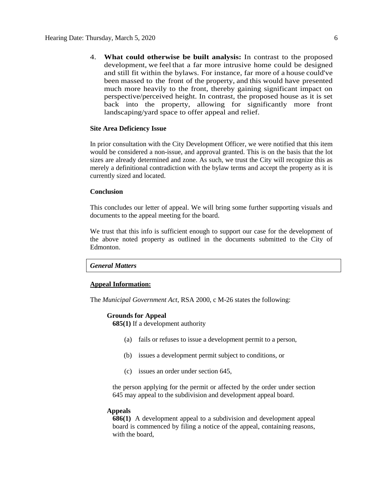4. **What could otherwise be built analysis:** In contrast to the proposed development, we feel that a far more intrusive home could be designed and still fit within the bylaws. For instance, far more of a house could've been massed to the front of the property, and this would have presented much more heavily to the front, thereby gaining significant impact on perspective/perceived height. In contrast, the proposed house as it is set back into the property, allowing for significantly more front landscaping/yard space to offer appeal and relief.

#### **Site Area Deficiency Issue**

In prior consultation with the City Development Officer, we were notified that this item would be considered a non-issue, and approval granted. This is on the basis that the lot sizes are already determined and zone. As such, we trust the City will recognize this as merely a definitional contradiction with the bylaw terms and accept the property as it is currently sized and located.

#### **Conclusion**

This concludes our letter of appeal. We will bring some further supporting visuals and documents to the appeal meeting for the board.

We trust that this info is sufficient enough to support our case for the development of the above noted property as outlined in the documents submitted to the City of Edmonton.

# *General Matters*

#### **Appeal Information:**

The *Municipal Government Act*, RSA 2000, c M-26 states the following:

#### **Grounds for Appeal**

**685(1)** If a development authority

- (a) fails or refuses to issue a development permit to a person,
- (b) issues a development permit subject to conditions, or
- (c) issues an order under section 645,

the person applying for the permit or affected by the order under section 645 may appeal to the subdivision and development appeal board.

#### **Appeals**

**686(1)** A development appeal to a subdivision and development appeal board is commenced by filing a notice of the appeal, containing reasons, with the board,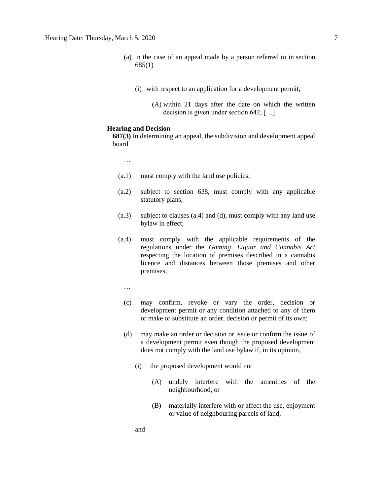- (a) in the case of an appeal made by a person referred to in section 685(1)
	- (i) with respect to an application for a development permit,
		- (A) within 21 days after the date on which the written decision is given under section 642, […]

## **Hearing and Decision**

**687(3)** In determining an appeal, the subdivision and development appeal board

…

- (a.1) must comply with the land use policies;
- (a.2) subject to section 638, must comply with any applicable statutory plans;
- (a.3) subject to clauses (a.4) and (d), must comply with any land use bylaw in effect;
- (a.4) must comply with the applicable requirements of the regulations under the *Gaming, Liquor and Cannabis Act* respecting the location of premises described in a cannabis licence and distances between those premises and other premises;
	- …
	- (c) may confirm, revoke or vary the order, decision or development permit or any condition attached to any of them or make or substitute an order, decision or permit of its own;
	- (d) may make an order or decision or issue or confirm the issue of a development permit even though the proposed development does not comply with the land use bylaw if, in its opinion,
		- (i) the proposed development would not
			- (A) unduly interfere with the amenities of the neighbourhood, or
			- (B) materially interfere with or affect the use, enjoyment or value of neighbouring parcels of land,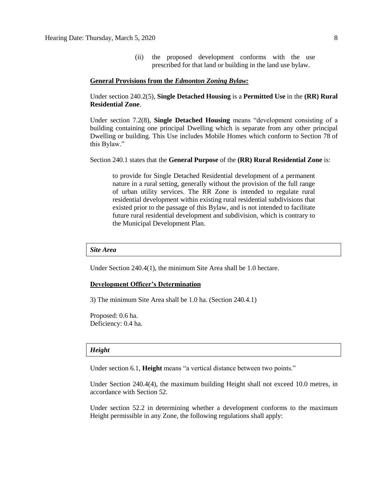(ii) the proposed development conforms with the use prescribed for that land or building in the land use bylaw.

#### **General Provisions from the** *Edmonton Zoning Bylaw:*

Under section 240.2(5), **Single Detached Housing** is a **Permitted Use** in the **(RR) Rural Residential Zone**.

Under section 7.2(8), **Single Detached Housing** means "development consisting of a building containing one principal Dwelling which is separate from any other principal Dwelling or building. This Use includes Mobile Homes which conform to Section 78 of this Bylaw."

#### Section 240.1 states that the **General Purpose** of the **(RR) Rural Residential Zone** is:

to provide for Single Detached Residential development of a permanent nature in a rural setting, generally without the provision of the full range of urban utility services. The RR Zone is intended to regulate rural residential development within existing rural residential subdivisions that existed prior to the passage of this Bylaw, and is not intended to facilitate future rural residential development and subdivision, which is contrary to the Municipal Development Plan.

*Site Area*

Under Section 240.4(1), the minimum Site Area shall be 1.0 hectare.

#### **Development Officer's Determination**

3) The minimum Site Area shall be 1.0 ha. (Section 240.4.1)

Proposed: 0.6 ha. Deficiency: 0.4 ha.

#### *Height*

Under section 6.1, **Height** means "a vertical distance between two points."

Under Section 240.4(4), the maximum building Height shall not exceed 10.0 metres, in accordance with Section 52.

Under section 52.2 in determining whether a development conforms to the maximum Height permissible in any Zone, the following regulations shall apply: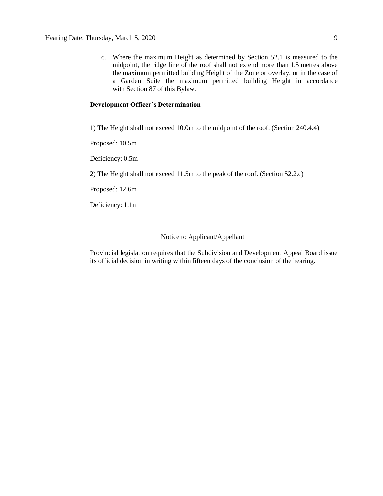c. Where the maximum Height as determined by Section 52.1 is measured to the midpoint, the ridge line of the roof shall not extend more than 1.5 metres above the maximum permitted building Height of the Zone or overlay, or in the case of a Garden Suite the maximum permitted building Height in accordance with Section 87 of this Bylaw.

# **Development Officer's Determination**

1) The Height shall not exceed 10.0m to the midpoint of the roof. (Section 240.4.4)

Proposed: 10.5m

Deficiency: 0.5m

2) The Height shall not exceed 11.5m to the peak of the roof. (Section 52.2.c)

Proposed: 12.6m

Deficiency: 1.1m

# Notice to Applicant/Appellant

Provincial legislation requires that the Subdivision and Development Appeal Board issue its official decision in writing within fifteen days of the conclusion of the hearing.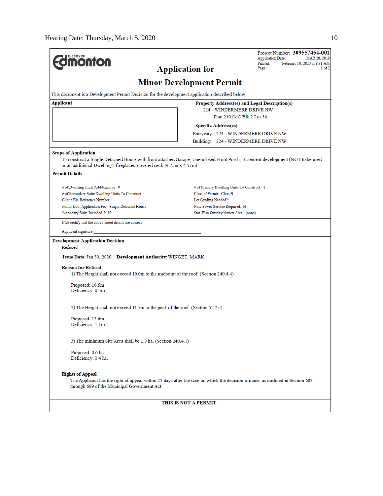| <b>Application for</b><br>Page:<br><b>Minor Development Permit</b><br>This document is a Development Permit Decision for the development application described below.<br>Applicant<br>Property Address(es) and Legal Description(s)<br>224 - WINDERMERE DRIVE NW<br>Plan 2301MC Blk 2 Lot 30<br><b>Specific Address(es)</b><br>Entryway: 224 - WINDERMERE DRIVE NW<br>Building: 224 - WINDERMERE DRIVE NW<br><b>Scope of Application</b><br>To construct a Single Detached House with front attached Garage, Unenclosed Front Porch, Basement development (NOT to be used<br>as an additional Dwelling), fireplaces, covered deck (9.75m x 4.57m).<br><b>Permit Details</b><br># of Primary Dwelling Units To Construct: 1<br># of Dwelling Units Add/Remove: 0<br>Class of Permit: Class B<br># of Secondary Suite Dwelling Units To Construct:<br>Client File Reference Number:<br>Lot Grading Needed?:<br>New Sewer Service Required: N<br>Minor Dev. Application Fee: Single Detached House<br>Stat. Plan Overlay/Annex Area: (none)<br>Secondary Suite Included ?: N<br>I/We certify that the above noted details are correct.<br>Applicant signature:<br><b>Development Application Decision</b><br>Refused<br>Issue Date: Jan 30, 2020 Development Authority: WINGET, MARK<br><b>Reason for Refusal</b><br>1) The Height shall not exceed 10.0m to the midpoint of the roof. (Section 240.4.4)<br>Proposed: 10.5m<br>Deficiency: 0.5m<br>2) The Height shall not exceed 11.5m to the peak of the roof. (Section 52.2.c)<br>Proposed: 12.6m<br>Deficiency: 1.1m<br>3) The minimum Site Area shall be 1.0 ha. (Section 240.4.1)<br>Proposed: 0.6 ha.<br>Deficiency: 0.4 ha.<br><b>Rights of Appeal</b><br>The Applicant has the right of appeal within 21 days after the date on which the decision is made, as outlined in Section 683<br>through 689 of the Municipal Government Act.<br>THIS IS NOT A PERMIT | <b><i><u><u><b>MONTON</b></u></u></i></b> |  | Project Number: 309557454-001<br><b>Application Date:</b><br>MAR 28, 2019<br>Printed:<br>February 10, 2020 at 8:31 AM |  |  |
|----------------------------------------------------------------------------------------------------------------------------------------------------------------------------------------------------------------------------------------------------------------------------------------------------------------------------------------------------------------------------------------------------------------------------------------------------------------------------------------------------------------------------------------------------------------------------------------------------------------------------------------------------------------------------------------------------------------------------------------------------------------------------------------------------------------------------------------------------------------------------------------------------------------------------------------------------------------------------------------------------------------------------------------------------------------------------------------------------------------------------------------------------------------------------------------------------------------------------------------------------------------------------------------------------------------------------------------------------------------------------------------------------------------------------------------------------------------------------------------------------------------------------------------------------------------------------------------------------------------------------------------------------------------------------------------------------------------------------------------------------------------------------------------------------------------------------------------------------------------------------------------------------------------------|-------------------------------------------|--|-----------------------------------------------------------------------------------------------------------------------|--|--|
|                                                                                                                                                                                                                                                                                                                                                                                                                                                                                                                                                                                                                                                                                                                                                                                                                                                                                                                                                                                                                                                                                                                                                                                                                                                                                                                                                                                                                                                                                                                                                                                                                                                                                                                                                                                                                                                                                                                      |                                           |  | 1 of 2                                                                                                                |  |  |
|                                                                                                                                                                                                                                                                                                                                                                                                                                                                                                                                                                                                                                                                                                                                                                                                                                                                                                                                                                                                                                                                                                                                                                                                                                                                                                                                                                                                                                                                                                                                                                                                                                                                                                                                                                                                                                                                                                                      |                                           |  |                                                                                                                       |  |  |
|                                                                                                                                                                                                                                                                                                                                                                                                                                                                                                                                                                                                                                                                                                                                                                                                                                                                                                                                                                                                                                                                                                                                                                                                                                                                                                                                                                                                                                                                                                                                                                                                                                                                                                                                                                                                                                                                                                                      |                                           |  |                                                                                                                       |  |  |
|                                                                                                                                                                                                                                                                                                                                                                                                                                                                                                                                                                                                                                                                                                                                                                                                                                                                                                                                                                                                                                                                                                                                                                                                                                                                                                                                                                                                                                                                                                                                                                                                                                                                                                                                                                                                                                                                                                                      |                                           |  |                                                                                                                       |  |  |
|                                                                                                                                                                                                                                                                                                                                                                                                                                                                                                                                                                                                                                                                                                                                                                                                                                                                                                                                                                                                                                                                                                                                                                                                                                                                                                                                                                                                                                                                                                                                                                                                                                                                                                                                                                                                                                                                                                                      |                                           |  |                                                                                                                       |  |  |
|                                                                                                                                                                                                                                                                                                                                                                                                                                                                                                                                                                                                                                                                                                                                                                                                                                                                                                                                                                                                                                                                                                                                                                                                                                                                                                                                                                                                                                                                                                                                                                                                                                                                                                                                                                                                                                                                                                                      |                                           |  |                                                                                                                       |  |  |
|                                                                                                                                                                                                                                                                                                                                                                                                                                                                                                                                                                                                                                                                                                                                                                                                                                                                                                                                                                                                                                                                                                                                                                                                                                                                                                                                                                                                                                                                                                                                                                                                                                                                                                                                                                                                                                                                                                                      |                                           |  |                                                                                                                       |  |  |
|                                                                                                                                                                                                                                                                                                                                                                                                                                                                                                                                                                                                                                                                                                                                                                                                                                                                                                                                                                                                                                                                                                                                                                                                                                                                                                                                                                                                                                                                                                                                                                                                                                                                                                                                                                                                                                                                                                                      |                                           |  |                                                                                                                       |  |  |
|                                                                                                                                                                                                                                                                                                                                                                                                                                                                                                                                                                                                                                                                                                                                                                                                                                                                                                                                                                                                                                                                                                                                                                                                                                                                                                                                                                                                                                                                                                                                                                                                                                                                                                                                                                                                                                                                                                                      |                                           |  |                                                                                                                       |  |  |
|                                                                                                                                                                                                                                                                                                                                                                                                                                                                                                                                                                                                                                                                                                                                                                                                                                                                                                                                                                                                                                                                                                                                                                                                                                                                                                                                                                                                                                                                                                                                                                                                                                                                                                                                                                                                                                                                                                                      |                                           |  |                                                                                                                       |  |  |
|                                                                                                                                                                                                                                                                                                                                                                                                                                                                                                                                                                                                                                                                                                                                                                                                                                                                                                                                                                                                                                                                                                                                                                                                                                                                                                                                                                                                                                                                                                                                                                                                                                                                                                                                                                                                                                                                                                                      |                                           |  |                                                                                                                       |  |  |
|                                                                                                                                                                                                                                                                                                                                                                                                                                                                                                                                                                                                                                                                                                                                                                                                                                                                                                                                                                                                                                                                                                                                                                                                                                                                                                                                                                                                                                                                                                                                                                                                                                                                                                                                                                                                                                                                                                                      |                                           |  |                                                                                                                       |  |  |
|                                                                                                                                                                                                                                                                                                                                                                                                                                                                                                                                                                                                                                                                                                                                                                                                                                                                                                                                                                                                                                                                                                                                                                                                                                                                                                                                                                                                                                                                                                                                                                                                                                                                                                                                                                                                                                                                                                                      |                                           |  |                                                                                                                       |  |  |
|                                                                                                                                                                                                                                                                                                                                                                                                                                                                                                                                                                                                                                                                                                                                                                                                                                                                                                                                                                                                                                                                                                                                                                                                                                                                                                                                                                                                                                                                                                                                                                                                                                                                                                                                                                                                                                                                                                                      |                                           |  |                                                                                                                       |  |  |
|                                                                                                                                                                                                                                                                                                                                                                                                                                                                                                                                                                                                                                                                                                                                                                                                                                                                                                                                                                                                                                                                                                                                                                                                                                                                                                                                                                                                                                                                                                                                                                                                                                                                                                                                                                                                                                                                                                                      |                                           |  |                                                                                                                       |  |  |
|                                                                                                                                                                                                                                                                                                                                                                                                                                                                                                                                                                                                                                                                                                                                                                                                                                                                                                                                                                                                                                                                                                                                                                                                                                                                                                                                                                                                                                                                                                                                                                                                                                                                                                                                                                                                                                                                                                                      |                                           |  |                                                                                                                       |  |  |
|                                                                                                                                                                                                                                                                                                                                                                                                                                                                                                                                                                                                                                                                                                                                                                                                                                                                                                                                                                                                                                                                                                                                                                                                                                                                                                                                                                                                                                                                                                                                                                                                                                                                                                                                                                                                                                                                                                                      |                                           |  |                                                                                                                       |  |  |
|                                                                                                                                                                                                                                                                                                                                                                                                                                                                                                                                                                                                                                                                                                                                                                                                                                                                                                                                                                                                                                                                                                                                                                                                                                                                                                                                                                                                                                                                                                                                                                                                                                                                                                                                                                                                                                                                                                                      |                                           |  |                                                                                                                       |  |  |
|                                                                                                                                                                                                                                                                                                                                                                                                                                                                                                                                                                                                                                                                                                                                                                                                                                                                                                                                                                                                                                                                                                                                                                                                                                                                                                                                                                                                                                                                                                                                                                                                                                                                                                                                                                                                                                                                                                                      |                                           |  |                                                                                                                       |  |  |
|                                                                                                                                                                                                                                                                                                                                                                                                                                                                                                                                                                                                                                                                                                                                                                                                                                                                                                                                                                                                                                                                                                                                                                                                                                                                                                                                                                                                                                                                                                                                                                                                                                                                                                                                                                                                                                                                                                                      |                                           |  |                                                                                                                       |  |  |
|                                                                                                                                                                                                                                                                                                                                                                                                                                                                                                                                                                                                                                                                                                                                                                                                                                                                                                                                                                                                                                                                                                                                                                                                                                                                                                                                                                                                                                                                                                                                                                                                                                                                                                                                                                                                                                                                                                                      |                                           |  |                                                                                                                       |  |  |
|                                                                                                                                                                                                                                                                                                                                                                                                                                                                                                                                                                                                                                                                                                                                                                                                                                                                                                                                                                                                                                                                                                                                                                                                                                                                                                                                                                                                                                                                                                                                                                                                                                                                                                                                                                                                                                                                                                                      |                                           |  |                                                                                                                       |  |  |
|                                                                                                                                                                                                                                                                                                                                                                                                                                                                                                                                                                                                                                                                                                                                                                                                                                                                                                                                                                                                                                                                                                                                                                                                                                                                                                                                                                                                                                                                                                                                                                                                                                                                                                                                                                                                                                                                                                                      |                                           |  |                                                                                                                       |  |  |
|                                                                                                                                                                                                                                                                                                                                                                                                                                                                                                                                                                                                                                                                                                                                                                                                                                                                                                                                                                                                                                                                                                                                                                                                                                                                                                                                                                                                                                                                                                                                                                                                                                                                                                                                                                                                                                                                                                                      |                                           |  |                                                                                                                       |  |  |
|                                                                                                                                                                                                                                                                                                                                                                                                                                                                                                                                                                                                                                                                                                                                                                                                                                                                                                                                                                                                                                                                                                                                                                                                                                                                                                                                                                                                                                                                                                                                                                                                                                                                                                                                                                                                                                                                                                                      |                                           |  |                                                                                                                       |  |  |
|                                                                                                                                                                                                                                                                                                                                                                                                                                                                                                                                                                                                                                                                                                                                                                                                                                                                                                                                                                                                                                                                                                                                                                                                                                                                                                                                                                                                                                                                                                                                                                                                                                                                                                                                                                                                                                                                                                                      |                                           |  |                                                                                                                       |  |  |
|                                                                                                                                                                                                                                                                                                                                                                                                                                                                                                                                                                                                                                                                                                                                                                                                                                                                                                                                                                                                                                                                                                                                                                                                                                                                                                                                                                                                                                                                                                                                                                                                                                                                                                                                                                                                                                                                                                                      |                                           |  |                                                                                                                       |  |  |
|                                                                                                                                                                                                                                                                                                                                                                                                                                                                                                                                                                                                                                                                                                                                                                                                                                                                                                                                                                                                                                                                                                                                                                                                                                                                                                                                                                                                                                                                                                                                                                                                                                                                                                                                                                                                                                                                                                                      |                                           |  |                                                                                                                       |  |  |
|                                                                                                                                                                                                                                                                                                                                                                                                                                                                                                                                                                                                                                                                                                                                                                                                                                                                                                                                                                                                                                                                                                                                                                                                                                                                                                                                                                                                                                                                                                                                                                                                                                                                                                                                                                                                                                                                                                                      |                                           |  |                                                                                                                       |  |  |
|                                                                                                                                                                                                                                                                                                                                                                                                                                                                                                                                                                                                                                                                                                                                                                                                                                                                                                                                                                                                                                                                                                                                                                                                                                                                                                                                                                                                                                                                                                                                                                                                                                                                                                                                                                                                                                                                                                                      |                                           |  |                                                                                                                       |  |  |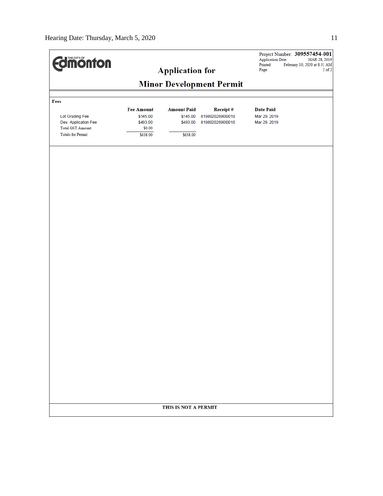| <b>dimonton</b>           |                                 | <b>Application for</b> |                  | Application Date:<br>Printed:<br>Page: | Project Number: 309557454-001<br>MAR 28, 2019<br>February 10, 2020 at 8:31 AM<br>$2$ of $2$ |
|---------------------------|---------------------------------|------------------------|------------------|----------------------------------------|---------------------------------------------------------------------------------------------|
|                           | <b>Minor Development Permit</b> |                        |                  |                                        |                                                                                             |
|                           |                                 |                        |                  |                                        |                                                                                             |
| Fees                      | <b>Fee Amount</b>               | <b>Amount Paid</b>     | Receipt#         | <b>Date Paid</b>                       |                                                                                             |
| Lot Grading Fee           | \$145.00                        | \$145.00               | 8198020269010010 | Mar 29, 2019                           |                                                                                             |
| Dev. Application Fee      | \$493.00                        | \$493.00               | 8198020269010010 | Mar 29, 2019                           |                                                                                             |
| Total GST Amount:         | \$0.00                          |                        |                  |                                        |                                                                                             |
| <b>Totals for Permit:</b> | \$638.00                        | \$638.00               |                  |                                        |                                                                                             |
|                           |                                 |                        |                  |                                        |                                                                                             |
|                           |                                 |                        |                  |                                        |                                                                                             |
|                           | THIS IS NOT A PERMIT            |                        |                  |                                        |                                                                                             |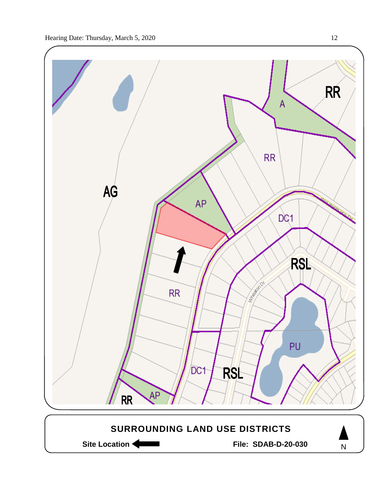

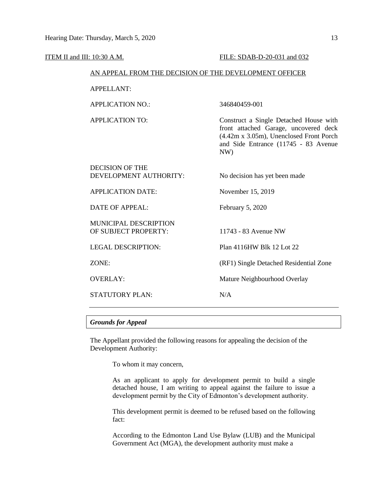| ITEM II and III: 10:30 A.M.                            |                                                  | FILE: SDAB-D-20-031 and 032                                                                                                                                               |  |  |
|--------------------------------------------------------|--------------------------------------------------|---------------------------------------------------------------------------------------------------------------------------------------------------------------------------|--|--|
| AN APPEAL FROM THE DECISION OF THE DEVELOPMENT OFFICER |                                                  |                                                                                                                                                                           |  |  |
|                                                        | <b>APPELLANT:</b>                                |                                                                                                                                                                           |  |  |
|                                                        | <b>APPLICATION NO.:</b>                          | 346840459-001                                                                                                                                                             |  |  |
|                                                        | <b>APPLICATION TO:</b>                           | Construct a Single Detached House with<br>front attached Garage, uncovered deck<br>(4.42m x 3.05m), Unenclosed Front Porch<br>and Side Entrance (11745 - 83 Avenue<br>NW) |  |  |
|                                                        | <b>DECISION OF THE</b><br>DEVELOPMENT AUTHORITY: | No decision has yet been made                                                                                                                                             |  |  |
|                                                        | <b>APPLICATION DATE:</b>                         | November 15, 2019                                                                                                                                                         |  |  |
|                                                        | <b>DATE OF APPEAL:</b>                           | February 5, 2020                                                                                                                                                          |  |  |
|                                                        | MUNICIPAL DESCRIPTION<br>OF SUBJECT PROPERTY:    | 11743 - 83 Avenue NW                                                                                                                                                      |  |  |
|                                                        | <b>LEGAL DESCRIPTION:</b>                        | Plan 4116HW Blk 12 Lot 22                                                                                                                                                 |  |  |
|                                                        | ZONE:                                            | (RF1) Single Detached Residential Zone                                                                                                                                    |  |  |
|                                                        | <b>OVERLAY:</b>                                  | Mature Neighbourhood Overlay                                                                                                                                              |  |  |
|                                                        | STATUTORY PLAN:                                  | N/A                                                                                                                                                                       |  |  |
|                                                        |                                                  |                                                                                                                                                                           |  |  |

## *Grounds for Appeal*

The Appellant provided the following reasons for appealing the decision of the Development Authority:

To whom it may concern,

As an applicant to apply for development permit to build a single detached house, I am writing to appeal against the failure to issue a development permit by the City of Edmonton's development authority.

This development permit is deemed to be refused based on the following fact:

According to the Edmonton Land Use Bylaw (LUB) and the Municipal Government Act (MGA), the development authority must make a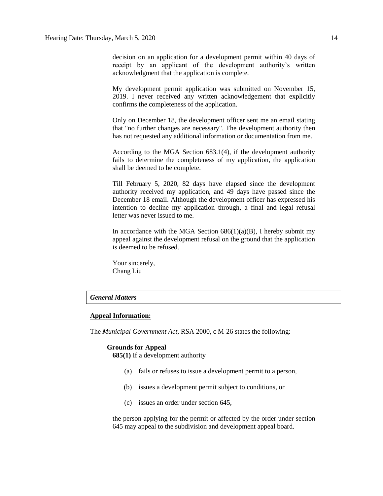decision on an application for a development permit within 40 days of receipt by an applicant of the development authority's written acknowledgment that the application is complete.

My development permit application was submitted on November 15, 2019. I never received any written acknowledgement that explicitly confirms the completeness of the application.

Only on December 18, the development officer sent me an email stating that "no further changes are necessary". The development authority then has not requested any additional information or documentation from me.

According to the MGA Section 683.1(4), if the development authority fails to determine the completeness of my application, the application shall be deemed to be complete.

Till February 5, 2020, 82 days have elapsed since the development authority received my application, and 49 days have passed since the December 18 email. Although the development officer has expressed his intention to decline my application through, a final and legal refusal letter was never issued to me.

In accordance with the MGA Section  $686(1)(a)(B)$ , I hereby submit my appeal against the development refusal on the ground that the application is deemed to be refused.

Your sincerely, Chang Liu

# *General Matters*

#### **Appeal Information:**

The *Municipal Government Act*, RSA 2000, c M-26 states the following:

# **Grounds for Appeal**

**685(1)** If a development authority

- (a) fails or refuses to issue a development permit to a person,
- (b) issues a development permit subject to conditions, or
- (c) issues an order under section 645,

the person applying for the permit or affected by the order under section 645 may appeal to the subdivision and development appeal board.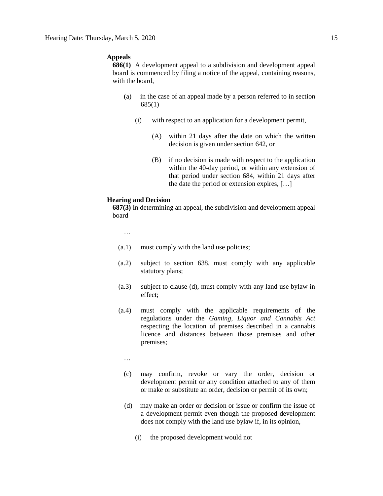## **Appeals**

**686(1)** A development appeal to a subdivision and development appeal board is commenced by filing a notice of the appeal, containing reasons, with the board,

- (a) in the case of an appeal made by a person referred to in section 685(1)
	- (i) with respect to an application for a development permit,
		- (A) within 21 days after the date on which the written decision is given under section 642, or
		- (B) if no decision is made with respect to the application within the 40-day period, or within any extension of that period under section 684, within 21 days after the date the period or extension expires, […]

#### **Hearing and Decision**

**687(3)** In determining an appeal, the subdivision and development appeal board

…

- (a.1) must comply with the land use policies;
- (a.2) subject to section 638, must comply with any applicable statutory plans;
- (a.3) subject to clause (d), must comply with any land use bylaw in effect;
- (a.4) must comply with the applicable requirements of the regulations under the *Gaming, Liquor and Cannabis Act* respecting the location of premises described in a cannabis licence and distances between those premises and other premises;
	- …
	- (c) may confirm, revoke or vary the order, decision or development permit or any condition attached to any of them or make or substitute an order, decision or permit of its own;
	- (d) may make an order or decision or issue or confirm the issue of a development permit even though the proposed development does not comply with the land use bylaw if, in its opinion,
		- (i) the proposed development would not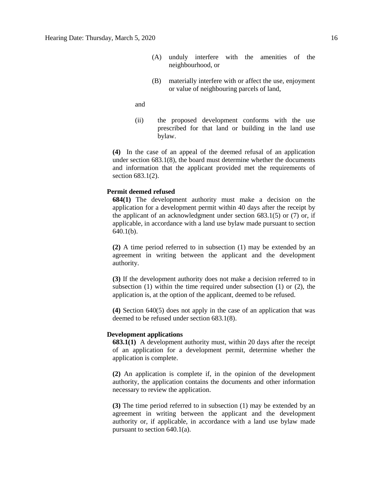- (A) unduly interfere with the amenities of the neighbourhood, or
- (B) materially interfere with or affect the use, enjoyment or value of neighbouring parcels of land,

and

(ii) the proposed development conforms with the use prescribed for that land or building in the land use bylaw.

**(4)** In the case of an appeal of the deemed refusal of an application under section 683.1(8), the board must determine whether the documents and information that the applicant provided met the requirements of section 683.1(2).

#### **Permit deemed refused**

**684(1)** The development authority must make a decision on the application for a development permit within 40 days after the receipt by the applicant of an acknowledgment under section  $683.1(5)$  or  $(7)$  or, if applicable, in accordance with a land use bylaw made pursuant to section 640.1(b).

**(2)** A time period referred to in subsection (1) may be extended by an agreement in writing between the applicant and the development authority.

**(3)** If the development authority does not make a decision referred to in subsection (1) within the time required under subsection (1) or (2), the application is, at the option of the applicant, deemed to be refused.

**(4)** Section 640(5) does not apply in the case of an application that was deemed to be refused under section 683.1(8).

# **Development applications**

**683.1(1)** A development authority must, within 20 days after the receipt of an application for a development permit, determine whether the application is complete.

**(2)** An application is complete if, in the opinion of the development authority, the application contains the documents and other information necessary to review the application.

**(3)** The time period referred to in subsection (1) may be extended by an agreement in writing between the applicant and the development authority or, if applicable, in accordance with a land use bylaw made pursuant to section 640.1(a).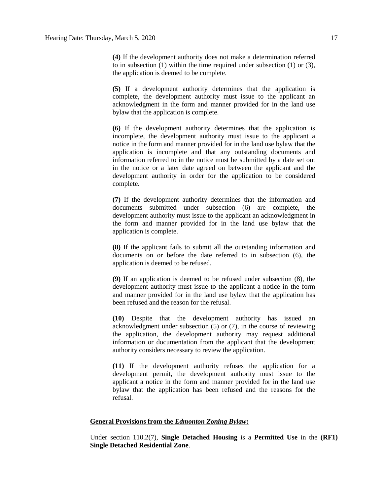**(4)** If the development authority does not make a determination referred to in subsection (1) within the time required under subsection (1) or (3), the application is deemed to be complete.

**(5)** If a development authority determines that the application is complete, the development authority must issue to the applicant an acknowledgment in the form and manner provided for in the land use bylaw that the application is complete.

**(6)** If the development authority determines that the application is incomplete, the development authority must issue to the applicant a notice in the form and manner provided for in the land use bylaw that the application is incomplete and that any outstanding documents and information referred to in the notice must be submitted by a date set out in the notice or a later date agreed on between the applicant and the development authority in order for the application to be considered complete.

**(7)** If the development authority determines that the information and documents submitted under subsection (6) are complete, the development authority must issue to the applicant an acknowledgment in the form and manner provided for in the land use bylaw that the application is complete.

**(8)** If the applicant fails to submit all the outstanding information and documents on or before the date referred to in subsection (6), the application is deemed to be refused.

**(9)** If an application is deemed to be refused under subsection (8), the development authority must issue to the applicant a notice in the form and manner provided for in the land use bylaw that the application has been refused and the reason for the refusal.

**(10)** Despite that the development authority has issued an acknowledgment under subsection (5) or (7), in the course of reviewing the application, the development authority may request additional information or documentation from the applicant that the development authority considers necessary to review the application.

**(11)** If the development authority refuses the application for a development permit, the development authority must issue to the applicant a notice in the form and manner provided for in the land use bylaw that the application has been refused and the reasons for the refusal.

## **General Provisions from the** *Edmonton Zoning Bylaw***:**

Under section 110.2(7), **Single Detached Housing** is a **Permitted Use** in the **(RF1) Single Detached Residential Zone**.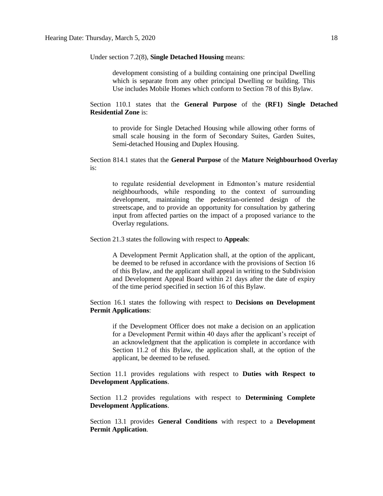Under section 7.2(8), **Single Detached Housing** means:

development consisting of a building containing one principal Dwelling which is separate from any other principal Dwelling or building. This Use includes Mobile Homes which conform to Section 78 of this Bylaw.

Section 110.1 states that the **General Purpose** of the **(RF1) Single Detached Residential Zone** is:

to provide for Single Detached Housing while allowing other forms of small scale housing in the form of Secondary Suites, Garden Suites, Semi-detached Housing and Duplex Housing.

Section 814.1 states that the **General Purpose** of the **Mature Neighbourhood Overlay** is:

to regulate residential development in Edmonton's mature residential neighbourhoods, while responding to the context of surrounding development, maintaining the pedestrian-oriented design of the streetscape, and to provide an opportunity for consultation by gathering input from affected parties on the impact of a proposed variance to the Overlay regulations.

Section 21.3 states the following with respect to **Appeals**:

A Development Permit Application shall, at the option of the applicant, be deemed to be refused in accordance with the provisions of Section 16 of this Bylaw, and the applicant shall appeal in writing to the Subdivision and Development Appeal Board within 21 days after the date of expiry of the time period specified in section 16 of this Bylaw.

Section 16.1 states the following with respect to **Decisions on Development Permit Applications**:

if the Development Officer does not make a decision on an application for a Development Permit within 40 days after the applicant's receipt of an acknowledgment that the application is complete in accordance with Section 11.2 of this Bylaw, the application shall, at the option of the applicant, be deemed to be refused.

Section 11.1 provides regulations with respect to **Duties with Respect to Development Applications**.

Section 11.2 provides regulations with respect to **Determining Complete Development Applications**.

Section 13.1 provides **General Conditions** with respect to a **Development Permit Application**.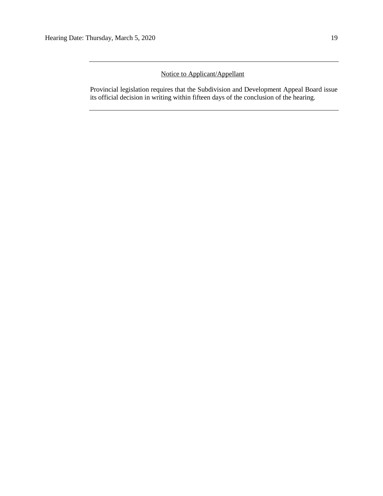# Notice to Applicant/Appellant

Provincial legislation requires that the Subdivision and Development Appeal Board issue its official decision in writing within fifteen days of the conclusion of the hearing.